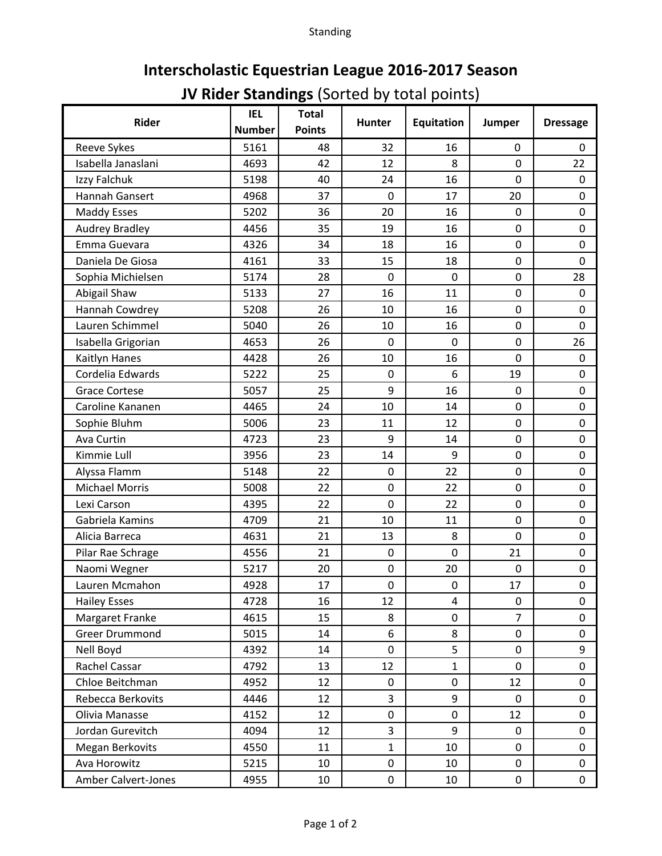Standing

## **Interscholastic Equestrian League 2016-2017 Season**

## **JV Rider Standings** (Sorted by total points)

| Rider                      | <b>IEL</b><br><b>Number</b> | <b>Total</b><br><b>Points</b> | <b>Hunter</b> | <b>Equitation</b> | Jumper         | <b>Dressage</b> |
|----------------------------|-----------------------------|-------------------------------|---------------|-------------------|----------------|-----------------|
|                            |                             |                               |               |                   |                |                 |
| Reeve Sykes                | 5161                        | 48                            | 32            | 16                | 0              | 0               |
| Isabella Janaslani         | 4693                        | 42                            | 12            | 8                 | 0              | 22              |
| Izzy Falchuk               | 5198                        | 40                            | 24            | 16                | 0              | $\mathbf 0$     |
| Hannah Gansert             | 4968                        | 37                            | 0             | 17                | 20             | 0               |
| <b>Maddy Esses</b>         | 5202                        | 36                            | 20            | 16                | $\mathbf 0$    | 0               |
| <b>Audrey Bradley</b>      | 4456                        | 35                            | 19            | 16                | 0              | 0               |
| Emma Guevara               | 4326                        | 34                            | 18            | 16                | 0              | 0               |
| Daniela De Giosa           | 4161                        | 33                            | 15            | 18                | 0              | 0               |
| Sophia Michielsen          | 5174                        | 28                            | $\mathbf 0$   | 0                 | 0              | 28              |
| Abigail Shaw               | 5133                        | 27                            | 16            | 11                | 0              | $\mathbf 0$     |
| Hannah Cowdrey             | 5208                        | 26                            | 10            | 16                | 0              | 0               |
| Lauren Schimmel            | 5040                        | 26                            | 10            | 16                | 0              | 0               |
| Isabella Grigorian         | 4653                        | 26                            | $\mathbf 0$   | 0                 | 0              | 26              |
| Kaitlyn Hanes              | 4428                        | 26                            | 10            | 16                | 0              | $\mathbf 0$     |
| Cordelia Edwards           | 5222                        | 25                            | $\mathbf 0$   | 6                 | 19             | 0               |
| <b>Grace Cortese</b>       | 5057                        | 25                            | 9             | 16                | $\mathbf 0$    | 0               |
| Caroline Kananen           | 4465                        | 24                            | 10            | 14                | 0              | 0               |
| Sophie Bluhm               | 5006                        | 23                            | 11            | 12                | 0              | 0               |
| Ava Curtin                 | 4723                        | 23                            | 9             | 14                | 0              | 0               |
| Kimmie Lull                | 3956                        | 23                            | 14            | 9                 | 0              | 0               |
| Alyssa Flamm               | 5148                        | 22                            | $\mathbf 0$   | 22                | 0              | 0               |
| <b>Michael Morris</b>      | 5008                        | 22                            | $\mathbf 0$   | 22                | 0              | $\mathbf 0$     |
| Lexi Carson                | 4395                        | 22                            | $\mathbf 0$   | 22                | 0              | 0               |
| Gabriela Kamins            | 4709                        | 21                            | 10            | 11                | 0              | 0               |
| Alicia Barreca             | 4631                        | 21                            | 13            | 8                 | 0              | 0               |
| Pilar Rae Schrage          | 4556                        | 21                            | $\mathbf 0$   | 0                 | 21             | $\mathbf 0$     |
| Naomi Wegner               | 5217                        | 20                            | $\pmb{0}$     | 20                | 0              | 0               |
| Lauren Mcmahon             | 4928                        | 17                            | 0             | 0                 | 17             | 0               |
| <b>Hailey Esses</b>        | 4728                        | 16                            | 12            | 4                 | 0              | 0               |
| Margaret Franke            | 4615                        | 15                            | 8             | 0                 | $\overline{7}$ | $\pmb{0}$       |
| <b>Greer Drummond</b>      | 5015                        | 14                            | 6             | 8                 | 0              | 0               |
| Nell Boyd                  | 4392                        | 14                            | $\mathbf 0$   | 5                 | 0              | 9               |
| Rachel Cassar              | 4792                        | 13                            | 12            | $\mathbf{1}$      | 0              | $\pmb{0}$       |
| Chloe Beitchman            | 4952                        | 12                            | $\mathbf 0$   | 0                 | 12             | $\pmb{0}$       |
| Rebecca Berkovits          | 4446                        | 12                            | 3             | 9                 | $\mathbf 0$    | 0               |
| Olivia Manasse             | 4152                        | 12                            | 0             | 0                 | 12             | $\pmb{0}$       |
| Jordan Gurevitch           | 4094                        | 12                            | 3             | 9                 | 0              | $\pmb{0}$       |
| Megan Berkovits            | 4550                        | 11                            | 1             | 10                | 0              | 0               |
| Ava Horowitz               | 5215                        | 10                            | 0             | 10                | 0              | 0               |
|                            |                             |                               |               |                   |                |                 |
| <b>Amber Calvert-Jones</b> | 4955                        | 10                            | 0             | 10                | 0              | $\mathbf 0$     |